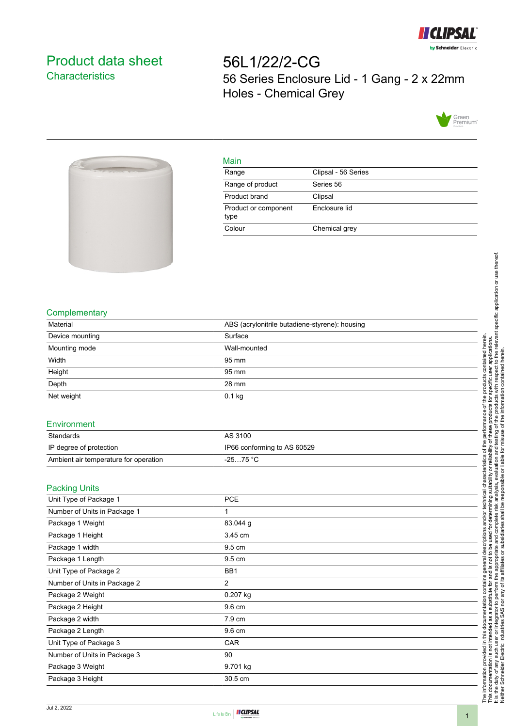

## <span id="page-0-0"></span>Product data sheet **Characteristics**

56L1/22/2-CG 56 Series Enclosure Lid - 1 Gang - 2 x 22mm Holes - Chemical Grey





## Main

| Range                        | Clipsal - 56 Series |
|------------------------------|---------------------|
| Range of product             | Series 56           |
| Product brand                | Clipsal             |
| Product or component<br>type | Enclosure lid       |
| Colour                       | Chemical grey       |
|                              |                     |

## **Complementary**

| Material                              | ABS (acrylonitrile butadiene-styrene): housing |    |
|---------------------------------------|------------------------------------------------|----|
| Device mounting                       | Surface                                        | ai |
| Mounting mode                         | Wall-mounted                                   |    |
| Width                                 | 95 mm                                          |    |
| Height                                | 95 mm                                          |    |
| Depth                                 | 28 mm                                          |    |
| Net weight                            | $0.1$ kg                                       |    |
|                                       |                                                |    |
| Environment                           |                                                |    |
| Standards                             | AS 3100                                        |    |
| IP degree of protection               | IP66 conforming to AS 60529                    |    |
| Ambient air temperature for operation | $-2575 °C$                                     |    |
|                                       |                                                |    |
| <b>Packing Units</b>                  |                                                |    |
| Unit Type of Package 1                | <b>PCE</b>                                     |    |
| Number of Unite in Declease 1         | $\overline{A}$                                 | ₫  |

| Number of Units in Package 1 | 1              |
|------------------------------|----------------|
| Package 1 Weight             | 83.044 g       |
| Package 1 Height             | 3.45 cm        |
| Package 1 width              | 9.5 cm         |
| Package 1 Length             | 9.5 cm         |
| Unit Type of Package 2       | BB1            |
| Number of Units in Package 2 | $\overline{2}$ |
| Package 2 Weight             | $0.207$ kg     |
| Package 2 Height             | 9.6 cm         |
| Package 2 width              | 7.9 cm         |
| Package 2 Length             | 9.6 cm         |
| Unit Type of Package 3       | <b>CAR</b>     |
| Number of Units in Package 3 | 90             |
| Package 3 Weight             | 9.701 kg       |
| Package 3 Height             | 30.5 cm        |